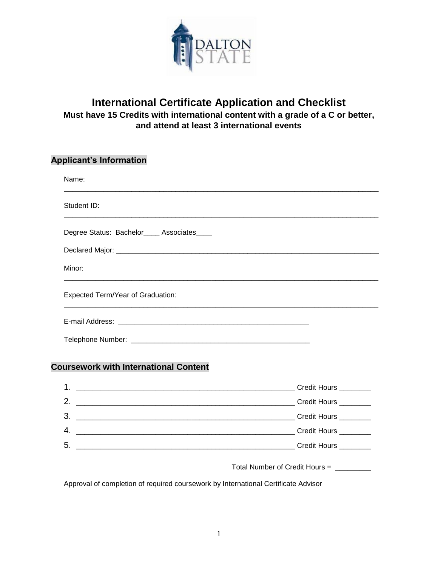

## **International Certificate Application and Checklist Must have 15 Credits with international content with a grade of a C or better, and attend at least 3 international events**

#### **Applicant's Information**

| Name:                                      |  |  |
|--------------------------------------------|--|--|
| Student ID:                                |  |  |
| Degree Status: Bachelor____ Associates____ |  |  |
|                                            |  |  |
| Minor:                                     |  |  |
| Expected Term/Year of Graduation:          |  |  |
|                                            |  |  |
|                                            |  |  |

#### **Coursework with International Content**

| $\mathbf 1$ . | Credit Hours ________      |
|---------------|----------------------------|
| 2.            | Credit Hours <b>Credit</b> |
| 3.            |                            |
| 4.            | Credit Hours ________      |
| 5.            |                            |
|               |                            |

Total Number of Credit Hours = \_\_\_\_\_\_\_\_\_

Approval of completion of required coursework by International Certificate Advisor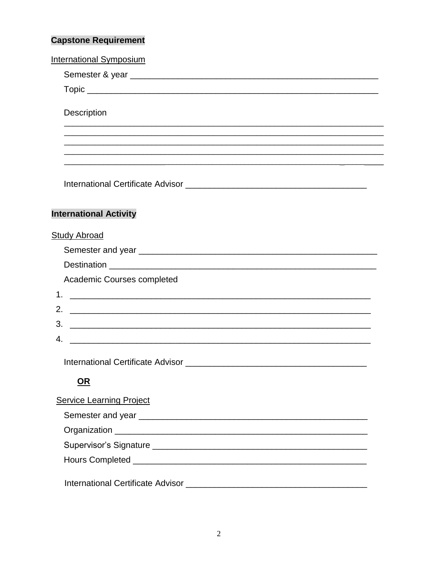# **Capstone Requirement**

| <b>International Symposium</b>  |
|---------------------------------|
|                                 |
|                                 |
| Description                     |
|                                 |
|                                 |
|                                 |
|                                 |
|                                 |
|                                 |
| <b>International Activity</b>   |
| <b>Study Abroad</b>             |
|                                 |
|                                 |
|                                 |
| Academic Courses completed      |
|                                 |
| 2.                              |
|                                 |
| 4.                              |
|                                 |
| <u>OR</u>                       |
| <b>Service Learning Project</b> |
|                                 |
|                                 |
|                                 |
|                                 |
|                                 |
|                                 |